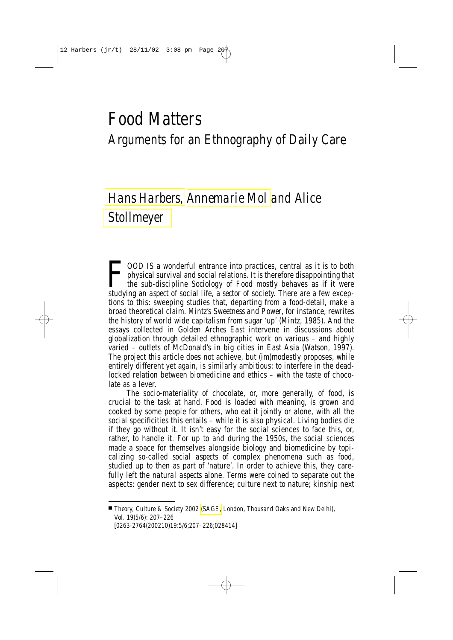# Food Matters Arguments for an Ethnography of Daily Care

# *[Hans Harbers, Annemarie Mol](#page-18-0) and Alice [Stollmeyer](#page-18-0)*

FOOD IS a wonderful entrance into practices, central as it is to both<br>physical survival and social relations. It is therefore disappointing that<br>the sub-discipline *Sociology of Food* mostly behaves as if it were<br>studying **the survival and social relations. It is therefore disappointing that** the sub-discipline *Sociology of Food* mostly behaves as if it were studying an *aspect* of social life, a *sector* of society. There are a few exceptions to this: sweeping studies that, departing from a food-detail, make a broad theoretical claim. Mintz's *Sweetness and Power*, for instance, rewrites the history of world wide capitalism from sugar 'up' (Mintz, 1985). And the essays collected in *Golden Arches East* intervene in discussions about globalization through detailed ethnographic work on various – and highly varied – outlets of McDonald's in big cities in East Asia (Watson, 1997). The project this article does not achieve, but (im)modestly proposes, while entirely different yet again, is similarly ambitious: to interfere in the deadlocked relation between biomedicine and ethics – with the taste of chocolate as a lever.

The socio-materiality of chocolate, or, more generally, of food, is crucial to the task at hand. Food is loaded with meaning, is grown and cooked by some people for others, who eat it jointly or alone, with all the social specificities this entails – while it is also physical. Living bodies die if they go without it. It isn't easy for the social sciences to face this, or, rather, to handle it. For up to and during the 1950s, the social sciences made a space for themselves alongside biology and biomedicine by topicalizing so-called *social aspects* of complex phenomena such as food, studied up to then as part of 'nature'. In order to achieve this, they carefully left the *natural aspects* alone. Terms were coined to separate out the aspects: gender next to sex difference; culture next to nature; kinship next

Theory, Culture & Society 2002 [\(SAGE,](www.sagepublications.com) London, Thousand Oaks and New Delhi), Vol. 19(5/6): 207–226 [0263-2764(200210)19:5/6;207–226;028414]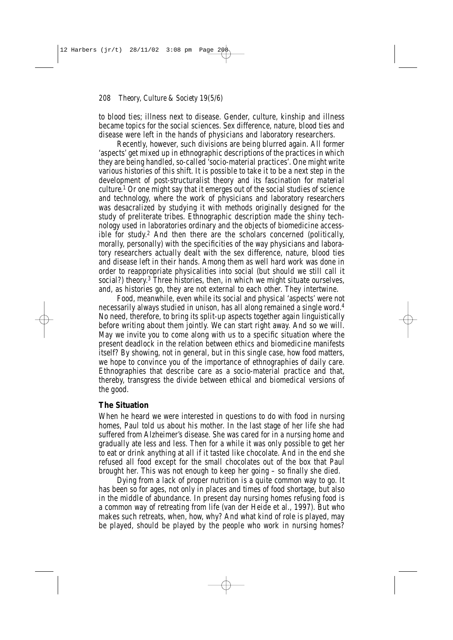to blood ties; illness next to disease. Gender, culture, kinship and illness became topics for the social sciences. Sex difference, nature, blood ties and disease were left in the hands of physicians and laboratory researchers.

Recently, however, such divisions are being blurred again. All former 'aspects' get mixed up in ethnographic descriptions of the practices in which they are being handled, so-called 'socio-material practices'. One might write various histories of this shift. It is possible to take it to be a next step in the development of post-structuralist theory and its fascination for *material culture*. <sup>1</sup> Or one might say that it emerges out of the social studies of science and technology, where the work of physicians and laboratory researchers was desacralized by studying it with methods originally designed for the study of preliterate tribes. Ethnographic description made the shiny technology used in laboratories ordinary and the objects of biomedicine accessible for study.<sup>2</sup> And then there are the scholars concerned (politically, morally, personally) with the specificities of the way physicians and laboratory researchers actually dealt with the sex difference, nature, blood ties and disease left in their hands. Among them as well hard work was done in order to reappropriate physicalities into social (but should we still call it social?) theory.<sup>3</sup> Three histories, then, in which we might situate ourselves, and, as histories go, they are not external to each other. They intertwine.

Food, meanwhile, even while its social and physical 'aspects' were not necessarily always studied in unison, has all along remained a single word.4 No need, therefore, to bring its split-up aspects together again linguistically before writing about them jointly. We can start right away. And so we will. May we invite you to come along with us to a specific situation where the present deadlock in the relation between ethics and biomedicine manifests itself? By showing, not in general, but in this single case, how food matters, we hope to convince you of the importance of ethnographies of daily care. Ethnographies that describe care as a socio-material practice and that, thereby, transgress the divide between ethical and biomedical versions of *the good*.

#### **The Situation**

When he heard we were interested in questions to do with food in nursing homes, Paul told us about his mother. In the last stage of her life she had suffered from Alzheimer's disease. She was cared for in a nursing home and gradually ate less and less. Then for a while it was only possible to get her to eat or drink anything at all if it tasted like chocolate. And in the end she refused all food except for the small chocolates out of the box that Paul brought her. This was not enough to keep her going – so finally she died.

Dying from a lack of proper nutrition is a quite common way to go. It has been so for ages, not only in places and times of food shortage, but also in the middle of abundance. In present day nursing homes refusing food is a common way of retreating from life (van der Heide et al., 1997). But who makes such retreats, when, how, why? And what kind of role is played, may be played, should be played by the people who work in nursing homes?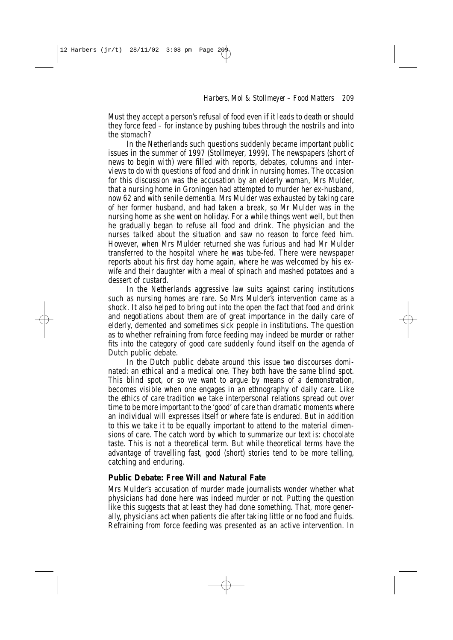Must they accept a person's refusal of food even if it leads to death or should they force feed – for instance by pushing tubes through the nostrils and into the stomach?

In the Netherlands such questions suddenly became important public issues in the summer of 1997 (Stollmeyer, 1999). The newspapers (short of news to begin with) were filled with reports, debates, columns and interviews to do with questions of food and drink in nursing homes. The occasion for this discussion was the accusation by an elderly woman, Mrs Mulder, that a nursing home in Groningen had attempted to murder her ex-husband, now 62 and with senile dementia. Mrs Mulder was exhausted by taking care of her former husband, and had taken a break, so Mr Mulder was in the nursing home as she went on holiday. For a while things went well, but then he gradually began to refuse all food and drink. The physician and the nurses talked about the situation and saw no reason to force feed him. However, when Mrs Mulder returned she was furious and had Mr Mulder transferred to the hospital where he was tube-fed. There were newspaper reports about his first day home again, where he was welcomed by his exwife and their daughter with a meal of spinach and mashed potatoes and a dessert of custard.

In the Netherlands aggressive law suits against caring institutions such as nursing homes are rare. So Mrs Mulder's intervention came as a shock. It also helped to bring out into the open the fact that *food and drink* and negotiations about them are of great importance in the daily care of elderly, demented and sometimes sick people in institutions. The question as to whether refraining from force feeding may indeed be *murder* or rather fits into the category of *good care* suddenly found itself on the agenda of Dutch public debate.

In the Dutch public debate around this issue two discourses dominated: an ethical and a medical one. They both have the same blind spot. This blind spot, or so we want to argue by means of a demonstration, becomes visible when one engages in an ethnography of daily care. Like the *ethics of care* tradition we take interpersonal relations spread out over time to be more important to the 'good' of care than dramatic moments where an individual will expresses itself or where fate is endured. But in addition to this we take it to be equally important to attend to the material dimensions of care. The catch word by which to summarize our text is: chocolate taste. This is not a theoretical term. But while theoretical terms have the advantage of travelling fast, good (short) stories tend to be more telling, catching and enduring.

# **Public Debate: Free Will and Natural Fate**

Mrs Mulder's accusation of murder made journalists wonder whether what physicians had done here was indeed murder or not. Putting the question like this suggests that at least they had done something. That, more generally, physicians *act* when patients die after taking little or no food and fluids. Refraining from force feeding was presented as an active intervention. In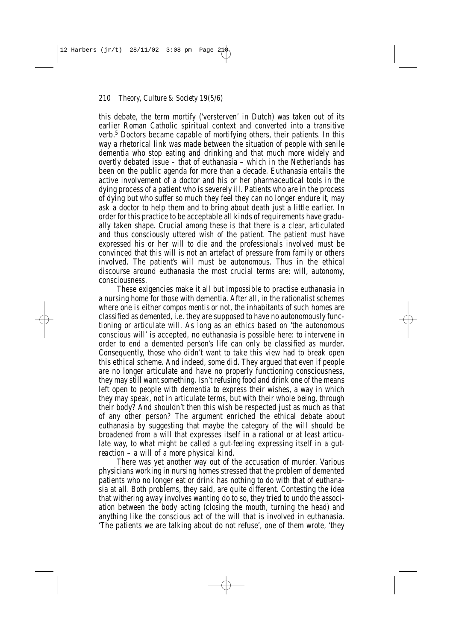this debate, the term *mortify* ('versterven' in Dutch) was taken out of its earlier Roman Catholic spiritual context and converted into a transitive verb.5 Doctors became capable of mortifying others, their patients. In this way a rhetorical link was made between the situation of people with senile dementia who stop eating and drinking and that much more widely and overtly debated issue – that of euthanasia – which in the Netherlands has been on the public agenda for more than a decade. Euthanasia entails the active involvement of a doctor and his or her pharmaceutical tools in the dying process of a patient who is severely ill. Patients who are in the process of dying but who suffer so much they feel they can no longer endure it, may ask a doctor to help them and to bring about death just a little earlier. In order for this practice to be acceptable all kinds of requirements have gradually taken shape. Crucial among these is that there is a clear, articulated and thus consciously uttered wish of the patient. The patient must have expressed his or her will to die and the professionals involved must be convinced that this will is not an artefact of pressure from family or others involved. The patient's will must be autonomous. Thus in the ethical discourse around euthanasia the most crucial terms are: will, autonomy, consciousness.

These exigencies make it all but impossible to practise euthanasia in a nursing home for those with dementia. After all, in the rationalist schemes where one is either *compos mentis* or not, the inhabitants of such homes are classified as *demented*, i.e. they are supposed to have no autonomously functioning or articulate will. As long as an ethics based on 'the autonomous conscious will' is accepted, no euthanasia is possible here: to intervene in order to end a demented person's life can only be classified as murder. Consequently, those who didn't want to take this view had to break open this ethical scheme. And indeed, some did. They argued that even if people are no longer articulate and have no properly functioning consciousness, they may still *want* something. Isn't refusing food and drink one of the means left open to people with dementia to express their wishes, a way in which they may speak, not in articulate terms, but with their whole being, through their body? And shouldn't then this wish be respected just as much as that of any other person? The argument enriched the ethical debate about euthanasia by suggesting that maybe the category of the will should be broadened from a will that expresses itself in a rational or at least articulate way, to what might be called a *gut-feeling* expressing itself in a *gutreaction* – a will of a more physical kind.

There was yet another way out of the accusation of murder. Various physicians working in nursing homes stressed that the problem of demented patients who no longer eat or drink has nothing to do with that of euthanasia at all. Both problems, they said, are quite different. Contesting the idea that *withering away* involves *wanting* do to so, they tried to undo the association between the body acting (closing the mouth, turning the head) and anything like the conscious act of the will that is involved in euthanasia. 'The patients we are talking about do not refuse', one of them wrote, 'they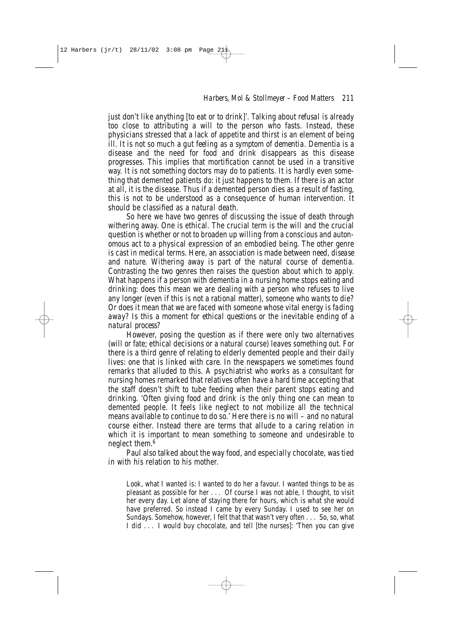just don't like anything [to eat or to drink]'. Talking about *refusal* is already too close to attributing a *will* to the person who fasts. Instead, these physicians stressed that a lack of appetite and thirst is an element of being ill. It is not so much a *gut feeling* as a *symptom of dementia*. Dementia is a disease and the need for food and drink disappears as this disease progresses. This implies that *mortification* cannot be used in a transitive way. It is not something doctors may do to patients. It is hardly even something that demented patients do: it just happens to them. If there is an actor at all, it is the disease. Thus if a demented person dies as a result of fasting, this is not to be understood as a consequence of human intervention. It should be classified as a *natural death*.

So here we have two genres of discussing the issue of death through withering away. One is ethical. The crucial term is the *will* and the crucial question is whether or not to broaden up *willing* from a conscious and autonomous act to a physical expression of an embodied being. The other genre is cast in medical terms. Here, an association is made between *need, disease* and *nature*. Withering away is part of the natural course of dementia. Contrasting the two genres then raises the question about which to apply. What happens if a person with dementia in a nursing home stops eating and drinking: does this mean we are dealing with a person who refuses to live any longer (even if this is not a rational matter), someone who *wants* to die? Or does it mean that we are faced with someone whose vital energy is *fading away*? Is this a moment for *ethical questions* or the inevitable ending of a *natural process*?

However, posing the question as if there were only two alternatives (will or fate; ethical decisions or a natural course) leaves something out. For there is a third genre of relating to elderly demented people and their daily lives: one that is linked with *care*. In the newspapers we sometimes found remarks that alluded to this. A psychiatrist who works as a consultant for nursing homes remarked that relatives often have a hard time accepting that the staff doesn't shift to tube feeding when their parent stops eating and drinking. 'Often giving food and drink is the only thing one can mean to demented people. It feels like neglect to not mobilize all the technical means available to continue to do so.' Here there is no will – and no natural course either. Instead there are terms that allude to a caring relation in which it is important to mean something to someone and undesirable to neglect them.6

Paul also talked about the way food, and especially chocolate, was tied in with his relation to his mother.

Look, what I wanted is: I wanted to do her a favour. I wanted things to be as pleasant as possible for her . . . Of course I was not able, I thought, to visit her every day. Let alone of staying there for hours, which is what she would have preferred. So instead I came by every Sunday. I used to see her on Sundays. Somehow, however, I felt that that wasn't very often . . . So, so, what I did . . . I would buy chocolate, and tell [the nurses]: 'Then you can give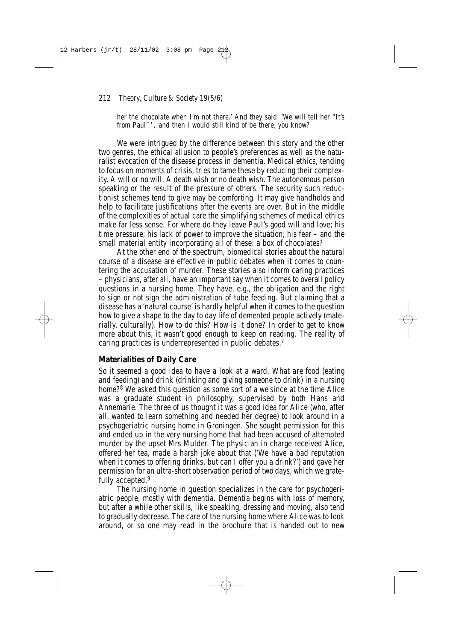her the chocolate when I'm not there.' And they said: 'We will tell her "It's from Paul"', and then I would still kind of be there, you know?

We were intrigued by the difference between this story and the other two genres, the ethical allusion to people's preferences as well as the naturalist evocation of the disease process in dementia. Medical ethics, tending to focus on moments of crisis, tries to tame these by reducing their complexity. A will or no will. A death wish or no death wish. The autonomous person speaking or the result of the pressure of others. The security such reductionist schemes tend to give may be comforting. It may give handholds and help to facilitate justifications after the events are over. But in the middle of the complexities of actual care the simplifying schemes of medical ethics make far less sense. For where do they leave Paul's good will and love; his time pressure; his lack of power to improve the situation; his fear – and the small material entity incorporating all of these: a box of chocolates?

At the other end of the spectrum, biomedical stories about the natural course of a disease are effective in public debates when it comes to countering the accusation of murder. These stories also inform caring practices – physicians, after all, have an important say when it comes to overall policy questions in a nursing home. They have, e.g., the obligation and the right to sign or not sign the administration of tube feeding. But claiming that a disease has a 'natural course' is hardly helpful when it comes to the question how to give a shape to the day to day life of demented people actively (materially, culturally). How to do this? How is it done? In order to get to know more about this, it wasn't good enough to keep on reading. The reality of caring practices is underrepresented in public debates.7

# **Materialities of Daily Care**

So it seemed a good idea to have a look at a ward. What *are* food (eating and feeding) and drink (drinking and giving someone to drink) in a nursing home?8 We asked this question as some sort of a *we* since at the time Alice was a graduate student in philosophy, supervised by both Hans and Annemarie. The three of us thought it was a good idea for Alice (who, after all, wanted to learn something and needed her degree) to look around in a psychogeriatric nursing home in Groningen. She sought permission for this and ended up in the very nursing home that had been accused of attempted murder by the upset Mrs Mulder. The physician in charge received Alice, offered her tea, made a harsh joke about that ('We have a bad reputation when it comes to offering drinks, but can I offer you a drink?') and gave her permission for an ultra-short observation period of two days, which we gratefully accepted.<sup>9</sup>

The nursing home in question specializes in the care for psychogeriatric people, mostly with dementia. Dementia begins with loss of memory, but after a while other skills, like speaking, dressing and moving, also tend to gradually decrease. The care of the nursing home where Alice was to look around, or so one may read in the brochure that is handed out to new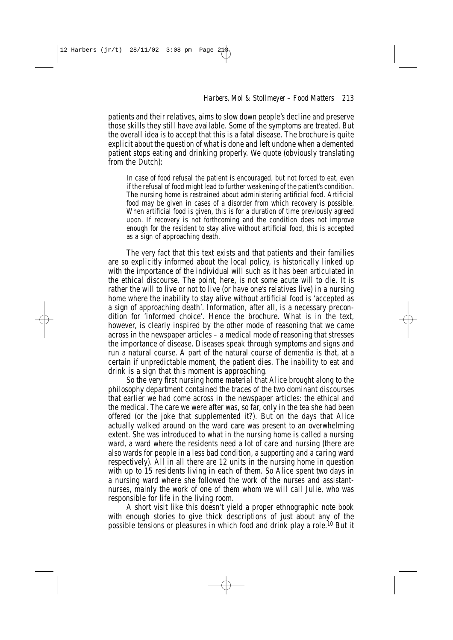patients and their relatives, aims to slow down people's decline and preserve those skills they still have available. Some of the symptoms are treated. But the overall idea is to accept that this is a fatal disease. The brochure is quite explicit about the question of what is done and left undone when a demented patient stops eating and drinking properly. We quote (obviously translating from the Dutch):

In case of food refusal the patient is encouraged, but not forced to eat, even if the refusal of food might lead to further weakening of the patient's condition. The nursing home is restrained about administering artificial food. Artificial food may be given in cases of a disorder from which recovery is possible. When artificial food is given, this is for a duration of time previously agreed upon. If recovery is not forthcoming and the condition does not improve enough for the resident to stay alive without artificial food, this is accepted as a sign of approaching death.

The very fact that this text exists and that patients and their families are so explicitly informed about the local policy, is historically linked up with the importance of the individual will such as it has been articulated in the ethical discourse. The point, here, is not some acute will to die. It is rather the will to live or not to live (or have one's relatives live) in a nursing home where the inability to stay alive without artificial food is 'accepted as a sign of approaching death'. Information, after all, is a necessary precondition for 'informed choice'. Hence the brochure. What is *in* the text, however, is clearly inspired by the other mode of reasoning that we came across in the newspaper articles – a medical mode of reasoning that stresses the importance of disease. Diseases speak through symptoms and signs and run a natural course. A part of the natural course of dementia is that, at a certain if unpredictable moment, the patient dies. The inability to eat and drink is a sign that this moment is approaching.

So the very first nursing home *material* that Alice brought along to the philosophy department contained the traces of the two dominant discourses that earlier we had come across in the newspaper articles: the ethical and the medical. The care we were after was, so far, only in the tea she had been offered (or the joke that supplemented it?). But on the days that Alice actually walked around on the ward care was present to an overwhelming extent. She was introduced to what in the nursing home is called a *nursing ward*, a ward where the residents need a lot of care and nursing (there are also wards for people in a less bad condition, a *supporting* and a *caring* ward respectively). All in all there are 12 units in the nursing home in question with up to 15 residents living in each of them. So Alice spent two days in a nursing ward where she followed the work of the nurses and assistantnurses, mainly the work of one of them whom we will call Julie, who was responsible for life in the living room.

A short visit like this doesn't yield a proper ethnographic note book with enough stories to give thick descriptions of just about any of the possible tensions or pleasures in which food and drink play a role.10 But it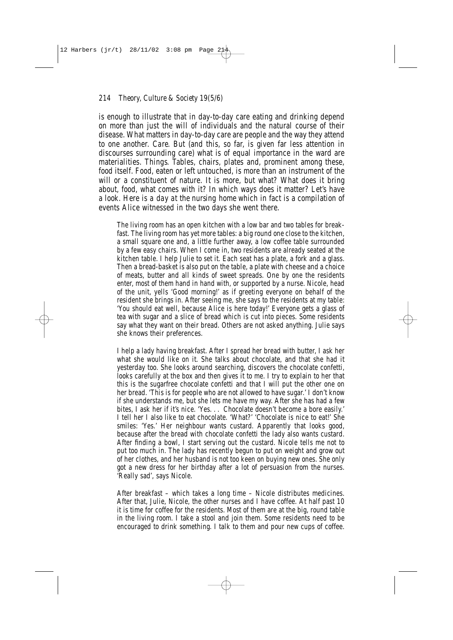is enough to illustrate that in day-to-day care eating and drinking depend on more than just the will of individuals and the natural course of their disease. What matters in day-to-day care are people and the way they attend to one another. *Care*. But (and this, so far, is given far less attention in discourses surrounding care) what is of equal importance in the ward are materialities. *Things.* Tables, chairs, plates and, prominent among these, food itself. Food, eaten or left untouched, is more than an instrument of the will or a constituent of nature. It is more, but what? What does it bring about, food, what comes with it? In which ways does it matter? Let's have a look. Here is *a day at the nursing home* which in fact is a compilation of events Alice witnessed in the two days she went there.

The living room has an open kitchen with a low bar and two tables for breakfast. The living room has yet more tables: a big round one close to the kitchen, a small square one and, a little further away, a low coffee table surrounded by a few easy chairs. When I come in, two residents are already seated at the kitchen table. I help Julie to set it. Each seat has a plate, a fork and a glass. Then a bread-basket is also put on the table, a plate with cheese and a choice of meats, butter and all kinds of sweet spreads. One by one the residents enter, most of them hand in hand with, or supported by a nurse. Nicole, head of the unit, yells 'Good morning!' as if greeting everyone on behalf of the resident she brings in. After seeing me, she says to the residents at my table: 'You should eat well, because Alice is here today!' Everyone gets a glass of tea with sugar and a slice of bread which is cut into pieces. Some residents say what they want on their bread. Others are not asked anything. Julie says she knows their preferences.

I help a lady having breakfast. After I spread her bread with butter, I ask her what she would like on it. She talks about chocolate, and that she had it yesterday too. She looks around searching, discovers the chocolate confetti, looks carefully at the box and then gives it to me. I try to explain to her that this is the sugarfree chocolate confetti and that I will put the other one on her bread. 'This is for people who are not allowed to have sugar.' I don't know if she understands me, but she lets me have my way. After she has had a few bites, I ask her if it's nice. 'Yes. . . Chocolate doesn't become a bore easily.' I tell her I also like to eat chocolate. 'What?' 'Chocolate is nice to eat!' She smiles: 'Yes.' Her neighbour wants custard. Apparently that looks good, because after the bread with chocolate confetti the lady also wants custard. After finding a bowl, I start serving out the custard. Nicole tells me not to put too much in. The lady has recently begun to put on weight and grow out of her clothes, and her husband is not too keen on buying new ones. She only got a new dress for her birthday after a lot of persuasion from the nurses. 'Really sad', says Nicole.

After breakfast – which takes a long time – Nicole distributes medicines. After that, Julie, Nicole, the other nurses and I have coffee. At half past 10 it is time for coffee for the residents. Most of them are at the big, round table in the living room. I take a stool and join them. Some residents need to be encouraged to drink something. I talk to them and pour new cups of coffee.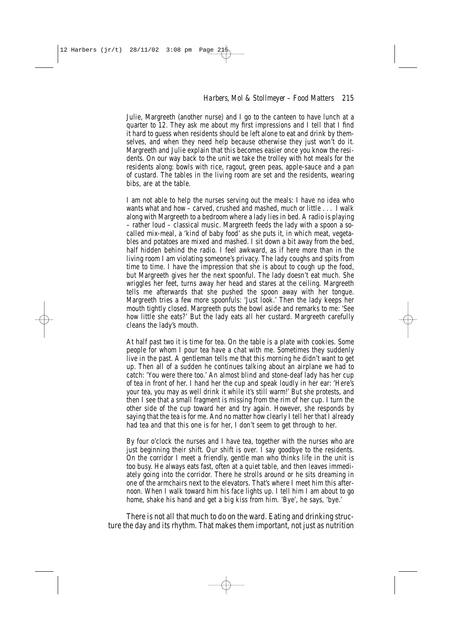Julie, Margreeth (another nurse) and I go to the canteen to have lunch at a quarter to 12. They ask me about my first impressions and I tell that I find it hard to guess when residents should be left alone to eat and drink by themselves, and when they need help because otherwise they just won't do it. Margreeth and Julie explain that this becomes easier once you know the residents. On our way back to the unit we take the trolley with hot meals for the residents along: bowls with rice, ragout, green peas, apple-sauce and a pan of custard. The tables in the living room are set and the residents, wearing bibs, are at the table.

I am not able to help the nurses serving out the meals: I have no idea who wants what and how – carved, crushed and mashed, much or little . . . I walk along with Margreeth to a bedroom where a lady lies in bed. A radio is playing – rather loud – classical music. Margreeth feeds the lady with a spoon a socalled mix-meal, a 'kind of baby food' as she puts it, in which meat, vegetables and potatoes are mixed and mashed. I sit down a bit away from the bed, half hidden behind the radio. I feel awkward, as if here more than in the living room I am violating someone's privacy. The lady coughs and spits from time to time. I have the impression that she is about to cough up the food, but Margreeth gives her the next spoonful. The lady doesn't eat much. She wriggles her feet, turns away her head and stares at the ceiling. Margreeth tells me afterwards that she pushed the spoon away with her tongue. Margreeth tries a few more spoonfuls: 'Just look.' Then the lady keeps her mouth tightly closed. Margreeth puts the bowl aside and remarks to me: 'See how little she eats?' But the lady eats all her custard. Margreeth carefully cleans the lady's mouth.

At half past two it is time for tea. On the table is a plate with cookies. Some people for whom I pour tea have a chat with me. Sometimes they suddenly live in the past. A gentleman tells me that this morning he didn't want to get up. Then all of a sudden he continues talking about an airplane we had to catch: 'You were there too.' An almost blind and stone-deaf lady has her cup of tea in front of her. I hand her the cup and speak loudly in her ear: 'Here's your tea, you may as well drink it while it's still warm!' But she protests, and then I see that a small fragment is missing from the rim of her cup. I turn the other side of the cup toward her and try again. However, she responds by saying that the tea is for me. And no matter how clearly I tell her that I already had tea and that this one is for her, I don't seem to get through to her.

By four o'clock the nurses and I have tea, together with the nurses who are just beginning their shift. Our shift is over. I say goodbye to the residents. On the corridor I meet a friendly, gentle man who thinks life in the unit is too busy. He always eats fast, often at a quiet table, and then leaves immediately going into the corridor. There he strolls around or he sits dreaming in one of the armchairs next to the elevators. That's where I meet him this afternoon. When I walk toward him his face lights up. I tell him I am about to go home, shake his hand and get a big kiss from him. 'Bye', he says, 'bye.'

There is not all that much to do on the ward. Eating and drinking structure the day and its rhythm. That makes them important, not just as nutrition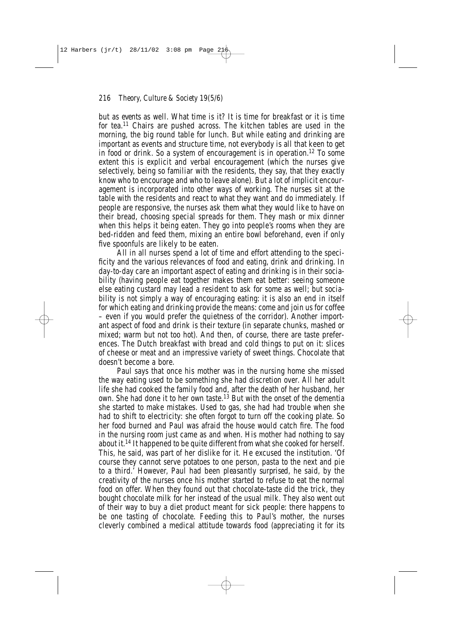but as *events* as well. What time is it? It is time for breakfast or it is time for tea.11 Chairs are pushed across. The kitchen tables are used in the morning, the big round table for lunch. But while eating and drinking are important as events and structure time, not everybody is all that keen to get in food or drink. So a system of encouragement is in operation.<sup>12</sup> To some extent this is explicit and verbal encouragement (which the nurses give selectively, being so familiar with the residents, they say, that they exactly know who to encourage and who to leave alone). But a lot of implicit encouragement is incorporated into other ways of working. The nurses sit at the table with the residents and react to what they want and do immediately. If people are responsive, the nurses ask them what they would like to have on their bread, choosing special spreads for them. They mash or mix dinner when this helps it being eaten. They go into people's rooms when they are bed-ridden and feed them, mixing an entire bowl beforehand, even if only five spoonfuls are likely to be eaten.

All in all nurses spend a lot of time and effort attending to the specificity and the various relevances of food and eating, drink and drinking. In day-to-day care an important aspect of eating and drinking is in their sociability (having people eat together makes them eat better: seeing someone else eating custard may lead a resident to ask for some as well; but sociability is not simply a way of encouraging eating: it is also an end in itself for which eating and drinking provide the means: come and join us for coffee – even if you would prefer the quietness of the corridor). Another important aspect of food and drink is their texture (in separate chunks, mashed or mixed; warm but not too hot). And then, of course, there are taste preferences. The Dutch breakfast with bread and cold things to put on it: slices of cheese or meat and an impressive variety of sweet things. Chocolate that doesn't become a bore.

Paul says that once his mother was in the nursing home she missed the way eating used to be something she had discretion over. All her adult life she had cooked the family food and, after the death of her husband, her own. She had done it to her own taste.<sup>13</sup> But with the onset of the dementia she started to make mistakes. Used to gas, she had had trouble when she had to shift to electricity: she often forgot to turn off the cooking plate. So her food burned and Paul was afraid the house would catch fire. The food in the nursing room just came as and when. His mother had nothing to say about it.14 It happened to be quite different from what she cooked for herself. This, he said, was part of her dislike for it. He excused the institution. 'Of course they cannot serve potatoes to one person, pasta to the next and pie to a third.' However, Paul had been *pleasantly surprised*, he said, by the creativity of the nurses once his mother started to refuse to eat the normal food on offer. When they found out that chocolate-taste did the trick, they bought chocolate milk for her instead of the usual milk. They also went out of their way to buy a diet product meant for sick people: there happens to be one tasting of chocolate. Feeding this to Paul's mother, the nurses cleverly combined a medical attitude towards food (appreciating it for its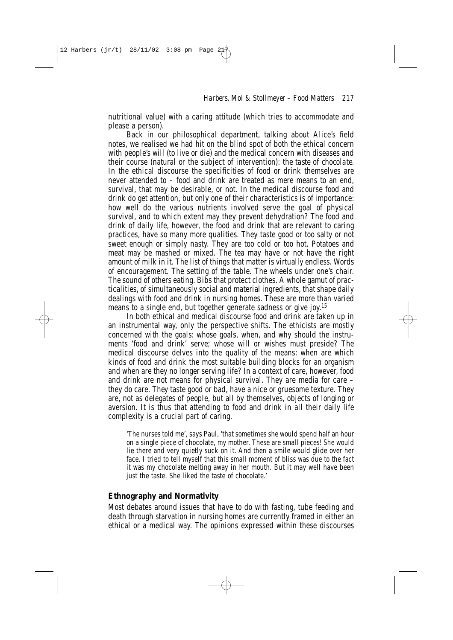nutritional value) with a caring attitude (which tries to accommodate and please a person).

Back in our philosophical department, talking about Alice's field notes, we realised we had hit on the blind spot of both the ethical concern with people's will (to live or die) and the medical concern with diseases and their course (natural or the subject of intervention): *the taste of chocolate*. In the ethical discourse the specificities of food or drink themselves are never attended to – food and drink are treated as mere means to an end, survival, that may be desirable, or not. In the medical discourse food and drink do get attention, but only one of their characteristics is of importance: how well do the various nutrients involved serve the goal of physical survival, and to which extent may they prevent dehydration? The food and drink of daily life, however, the food and drink that are relevant to caring practices, have so many more qualities. They taste good or too salty or not sweet enough or simply nasty. They are too cold or too hot. Potatoes and meat may be mashed or mixed. The tea may have or not have the right amount of milk in it. The list of things that matter is virtually endless. Words of encouragement. The setting of the table. The wheels under one's chair. The sound of others eating. Bibs that protect clothes. A whole gamut of practicalities, of simultaneously social and material ingredients, that shape daily dealings with food and drink in nursing homes. These are more than varied means to a single end, but together generate sadness or give joy.15

In both ethical and medical discourse food and drink are taken up in an instrumental way, only the perspective shifts. The ethicists are mostly concerned with the goals: whose goals, when, and why should the instruments 'food and drink' serve; whose will or wishes must preside? The medical discourse delves into the quality of the means: when are which kinds of food and drink the most suitable building blocks for an organism and when are they no longer serving life? In a context of care, however, food and drink are not means for physical survival. They are media for care – they *do* care. *They* taste good or bad, have a nice or gruesome texture. They are, not as delegates of people, but all by themselves, objects of longing or aversion. It is thus that attending to food and drink in all their daily life complexity is a crucial part of caring.

'The nurses told me', says Paul, 'that sometimes she would spend half an hour on a single piece of chocolate, my mother. These are small pieces! She would lie there and very quietly suck on it. And then a smile would glide over her face. I tried to tell myself that this small moment of bliss was due to the fact it was *my* chocolate melting away in her mouth. But it may well have been just the taste. She liked the taste of chocolate.'

# **Ethnography and Normativity**

Most debates around issues that have to do with fasting, tube feeding and death through starvation in nursing homes are currently framed in either an ethical or a medical way. The opinions expressed within these discourses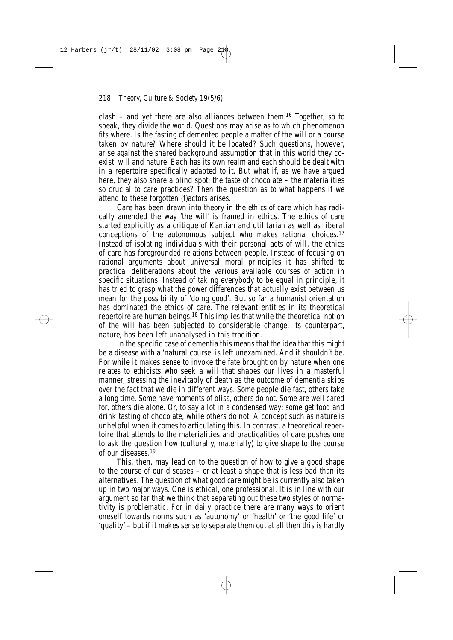clash – and yet there are also alliances between them.16 Together, so to speak, they *divide* the world. Questions may arise as to which phenomenon fits where. Is the fasting of demented people a matter of the *will* or a course taken by *nature*? Where should it be located? Such questions, however, arise against the shared background assumption that in this world they coexist, will and nature. Each has its own realm and each should be dealt with in a repertoire specifically adapted to it. But what if, as we have argued here, they also share a blind spot: the taste of chocolate – the materialities so crucial to care practices? Then the question as to what happens if we attend to these forgotten (f)actors arises.

*Care* has been drawn into theory in the *ethics of care* which has radically amended the way 'the will' is framed in ethics. The ethics of care started explicitly as a critique of Kantian and utilitarian as well as liberal conceptions of the autonomous subject who makes rational choices.17 Instead of isolating individuals with their personal acts of will, the ethics of care has foregrounded relations between people. Instead of focusing on rational arguments about universal moral principles it has shifted to practical deliberations about the various available courses of action in specific situations. Instead of taking everybody to be equal in principle, it has tried to grasp what the power differences that actually exist between us mean for the possibility of 'doing good'. But so far a humanist orientation has dominated the ethics of care. The relevant entities in its theoretical repertoire are human beings.<sup>18</sup> This implies that while the theoretical notion of the *will* has been subjected to considerable change, its counterpart, *nature*, has been left unanalysed in this tradition.

In the specific case of dementia this means that the idea that this might be a disease with a 'natural course' is left unexamined. And it shouldn't be. For while it makes sense to invoke the fate brought on by nature when one relates to ethicists who seek a will that shapes our lives in a masterful manner, stressing the inevitably of death as the outcome of dementia skips over the fact that we die in different ways. Some people die fast, others take a long time. Some have moments of bliss, others do not. Some are well cared for, others die alone. Or, to say a lot in a condensed way: some get food and drink tasting of chocolate, while others do not. A concept such as *nature* is unhelpful when it comes to articulating this. In contrast, a theoretical repertoire that attends to the materialities and practicalities of care pushes one to ask the question how (culturally, materially) to *give shape to* the course of our diseases.<sup>19</sup>

This, then, may lead on to the question of how to give a *good* shape to the course of our diseases – or at least a shape that is less bad than its alternatives. The question of what *good care* might be is currently also taken up in two major ways. One is ethical, one professional. It is in line with our argument so far that we think that separating out these two styles of normativity is problematic. For in daily practice there are many ways to orient oneself towards norms such as 'autonomy' or 'health' or 'the good life' or 'quality' – but if it makes sense to separate them out at all then this is hardly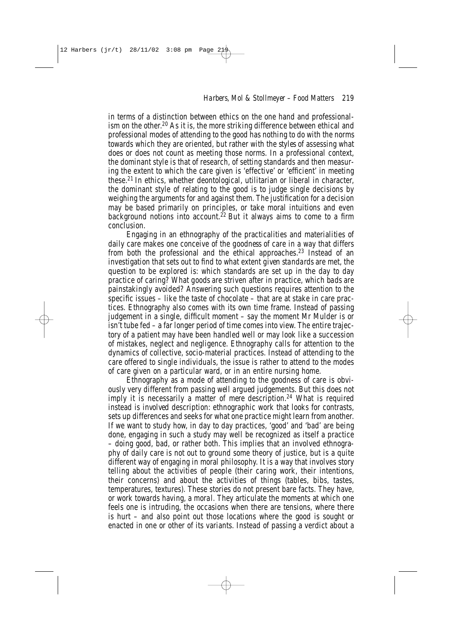in terms of a distinction between ethics on the one hand and professionalism on the other.20 As it is, the more striking difference between ethical and professional modes of attending to the good has nothing to do with the *norms* towards which they are oriented, but rather with the *styles* of assessing what does or does not count as meeting those norms. In a professional context, the dominant style is that of research, of setting standards and then measuring the extent to which the care given is 'effective' or 'efficient' in meeting these.<sup>21</sup> In ethics, whether deontological, utilitarian or liberal in character, the dominant style of relating to the good is to judge single decisions by weighing the arguments for and against them. The justification for a decision may be based primarily on principles, or take moral intuitions and even background notions into account.<sup>22</sup> But it always aims to come to a firm conclusion.

Engaging in an ethnography of the practicalities and materialities of daily care makes one conceive of the *goodness* of care in a way that differs from both the professional and the ethical approaches.<sup>23</sup> Instead of an investigation that sets out to find to what extent *given standards* are met, the question to be explored is: which standards are set up in the day to day practice of caring? What *goods* are striven after in practice, which *bads* are painstakingly avoided? Answering such questions requires attention to the specific issues – like the taste of chocolate – that are at stake in care practices. Ethnography also comes with its own time frame. Instead of passing judgement in a single, difficult moment – say the moment Mr Mulder is or isn't tube fed – a far longer period of time comes into view. The entire trajectory of a patient may have been handled well or may look like a succession of mistakes, neglect and negligence. Ethnography calls for attention to the dynamics of collective, socio-material practices. Instead of attending to the care offered to single individuals, the issue is rather to attend to the modes of care given on a particular ward, or in an entire nursing home.

Ethnography as a mode of attending to the goodness of care is obviously very different from passing *well argued* judgements. But this does not imply it is necessarily a matter of *mere* description.<sup>24</sup> What is required instead is *involved* description: ethnographic work that looks for contrasts, sets up differences and seeks for what one practice might learn from another. If we want to study how, in day to day practices, 'good' and 'bad' are being done, engaging in such a study may well be recognized as itself a practice – doing good, bad, or rather both. This implies that an involved ethnography of daily care is not out to ground some theory of justice, but is a quite different way of engaging in moral philosophy. It is a way that involves story telling about the activities of people (their caring work, their intentions, their concerns) and about the activities of things (tables, bibs, tastes, temperatures, textures). These stories do not present bare facts. They have, or work towards having, a *moral*. They articulate the moments at which one feels one is intruding, the occasions when there are tensions, where there is hurt – and also point out those locations where the good is sought or enacted in one or other of its variants. Instead of passing a verdict about a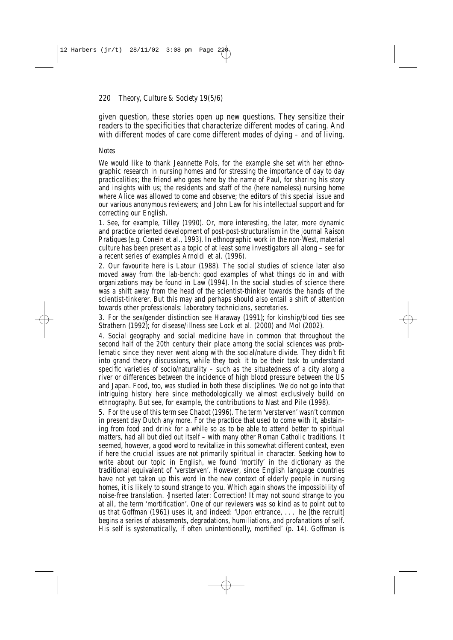given question, these stories open up new questions. They sensitize their readers to the specificities that characterize different modes of caring. And with different modes of care come different modes of dying – and of living.

#### *Notes*

We would like to thank Jeannette Pols, for the example she set with her ethnographic research in nursing homes and for stressing the importance of day to day practicalities; the friend who goes here by the name of Paul, for sharing his story and insights with us; the residents and staff of the (here nameless) nursing home where Alice was allowed to come and observe; the editors of this special issue and our various anonymous reviewers; and John Law for his intellectual support and for correcting our English.

1. See, for example, Tilley (1990). Or, more interesting, the later, more dynamic and practice oriented development of post-post-structuralism in the journal *Raison Pratiques* (e.g. Conein et al., 1993). In ethnographic work in the non-West, material culture has been present as a topic of at least some investigators all along – see for a recent series of examples Arnoldi et al. (1996).

2. Our favourite here is Latour (1988). The social studies of science later also moved away from the lab-bench: good examples of what *things* do in and with organizations may be found in Law (1994). In the social studies of science there was a shift away from the head of the scientist-thinker towards the hands of the scientist-tinkerer. But this may and perhaps should also entail a shift of attention towards other professionals: laboratory technicians, secretaries.

3. For the sex/gender distinction see Haraway (1991); for kinship/blood ties see Strathern (1992); for disease/illness see Lock et al. (2000) and Mol (2002).

4. Social geography and social medicine have in common that throughout the second half of the 20th century their place among the social sciences was problematic since they never went along with the social/nature divide. They didn't fit into grand theory discussions, while they took it to be their task to understand specific varieties of socio/naturality – such as the situatedness of a city along a river or differences between the incidence of high blood pressure between the US and Japan. Food, too, was studied in both these disciplines. We do not go into that intriguing history here since methodologically we almost exclusively build on ethnography. But see, for example, the contributions to Nast and Pile (1998).

5. For the use of this term see Chabot (1996). The term 'versterven' wasn't common in present day Dutch any more. For the practice that used to come with it, abstaining from food and drink for a while so as to be able to attend better to spiritual matters, had all but died out itself – with many other Roman Catholic traditions. It seemed, however, a good word to revitalize in this somewhat different context, even if here the crucial issues are not primarily spiritual in character. Seeking how to write about our topic in English, we found 'mortify' in the dictionary as the traditional equivalent of 'versterven'. However, since English language countries have not yet taken up this word in the new context of elderly people in nursing homes, it is likely to sound strange to you. Which again shows the impossibility of noise-free translation. {Inserted later: Correction! It may not sound strange to you at all, the term 'mortification'. One of our reviewers was so kind as to point out to us that Goffman (1961) uses it, and indeed: 'Upon entrance, . . . he [the recruit] begins a series of abasements, degradations, humiliations, and profanations of self. His self is systematically, if often unintentionally, mortified' (p. 14). Goffman is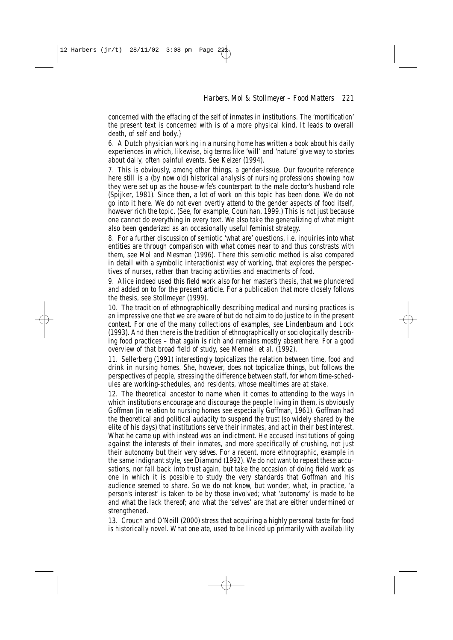concerned with the effacing of the *self* of inmates in institutions. The 'mortification' the present text is concerned with is of a more physical kind. It leads to overall death, of self and body.}

6. A Dutch physician working in a nursing home has written a book about his daily experiences in which, likewise, big terms like 'will' and 'nature' give way to stories about daily, often painful events. See Keizer (1994).

7. This is obviously, among other things, a gender-issue. Our favourite reference here still is a (by now old) historical analysis of nursing professions showing how they were set up as the house-wife's counterpart to the male doctor's husband role (Spijker, 1981). Since then, a lot of work on this topic has been done. We do not go into it here. We do not even overtly attend to the gender aspects of food itself, however rich the topic. (See, for example, Counihan, 1999.) This is not just because one cannot do everything in every text. We also take the *generalizing* of what might also been *genderized* as an occasionally useful feminist strategy.

8. For a further discussion of semiotic 'what are' questions, i.e. inquiries into what entities are through comparison with what comes near to and thus constrasts with them, see Mol and Mesman (1996). There this semiotic method is also compared in detail with a symbolic interactionist way of working, that explores the perspectives of nurses, rather than tracing activities and enactments of food.

9. Alice indeed used this field work also for her master's thesis, that we plundered and added on to for the present article. For a publication that more closely follows the thesis, see Stollmeyer (1999).

10. The tradition of ethnographically describing medical and nursing practices is an impressive one that we are aware of but do not aim to do justice to in the present context. For one of the many collections of examples, see Lindenbaum and Lock (1993). And then there is the tradition of ethnographically or sociologically describing food practices – that again is rich and remains mostly absent here. For a good overview of that broad field of study, see Mennell et al. (1992).

11. Sellerberg (1991) interestingly topicalizes the relation between time, food and drink in nursing homes. She, however, does not topicalize things, but follows the perspectives of people, stressing the difference between staff, for whom time-schedules are working-schedules, and residents, whose mealtimes are at stake.

12. The theoretical ancestor to name when it comes to attending to the ways in which institutions encourage and discourage the people living in them, is obviously Goffman (in relation to nursing homes see especially Goffman, 1961). Goffman had the theoretical and political audacity to suspend the trust (so widely shared by the elite of his days) that institutions serve their inmates, and act in their best interest. What he came up with instead was an indictment. He accused institutions of going *against* the interests of their inmates, and more specifically of crushing, not just their *autonomy* but their very *selves*. For a recent, more ethnographic, example in the same indignant style, see Diamond (1992). We do not want to repeat these accusations, nor fall back into trust again, but take the occasion of doing field work as one in which it is possible to study the very standards that Goffman and his audience seemed to share. So we do not know, but wonder, what, in practice, 'a person's interest' is taken to be by those involved; what 'autonomy' is made to be and what the lack thereof; and what the 'selves' *are* that are either undermined or strengthened.

13. Crouch and O'Neill (2000) stress that acquiring a highly personal taste for food is historically novel. What one ate, used to be linked up primarily with availability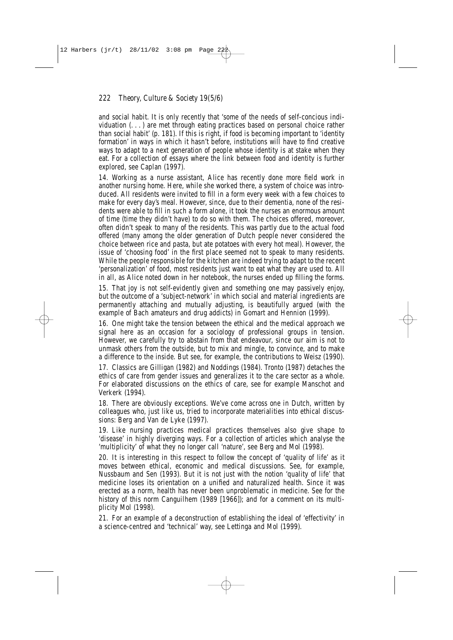and social habit. It is only recently that 'some of the needs of self-concious individuation (. . . ) are met through eating practices based on personal choice rather than social habit' (p. 181). If this is right, if food is becoming important to 'identity formation' in ways in which it hasn't before, institutions will have to find creative ways to adapt to a next generation of people whose identity is at stake when they eat. For a collection of essays where the link between food and identity is further explored, see Caplan (1997).

14. Working as a nurse assistant, Alice has recently done more field work in another nursing home. Here, while she worked there, a system of choice was introduced. All residents were invited to fill in a form every week with a few choices to make for every day's meal. However, since, due to their dementia, none of the residents were able to fill in such a form alone, it took the nurses an enormous amount of time (time they didn't have) to do so with them. The choices offered, moreover, often didn't speak to many of the residents. This was partly due to the actual food offered (many among the older generation of Dutch people never considered the choice between rice and pasta, but ate potatoes with every hot meal). However, the issue of 'choosing food' in the first place seemed not to speak to many residents. While the people responsible for the kitchen are indeed trying to adapt to the recent 'personalization' of food, most residents just want to eat what they are used to. All in all, as Alice noted down in her notebook, the nurses ended up filling the forms.

15. That joy is not self-evidently given and something one may passively enjoy, but the outcome of a 'subject-network' in which social and material ingredients are permanently attaching and mutually adjusting, is beautifully argued (with the example of Bach amateurs and drug addicts) in Gomart and Hennion (1999).

16. One might take the tension between the ethical and the medical approach we signal here as an occasion for a sociology of professional groups in tension. However, we carefully try to abstain from that endeavour, since our aim is not to unmask others from the outside, but to mix and mingle, to convince, and to make a difference to the inside. But see, for example, the contributions to Weisz (1990).

17. Classics are Gilligan (1982) and Noddings (1984). Tronto (1987) detaches the ethics of care from gender issues and generalizes it to the care sector as a whole. For elaborated discussions on the ethics of care, see for example Manschot and Verkerk (1994).

18. There are obviously exceptions. We've come across one in Dutch, written by colleagues who, just like us, tried to incorporate materialities into ethical discussions: Berg and Van de Lyke (1997).

19. Like nursing practices medical practices themselves also give shape to 'disease' in highly diverging ways. For a collection of articles which analyse the 'multiplicity' of what they no longer call 'nature', see Berg and Mol (1998).

20. It is interesting in this respect to follow the concept of 'quality of life' as it moves between ethical, economic and medical discussions. See, for example, Nussbaum and Sen (1993). But it is not just with the notion 'quality of life' that medicine loses its orientation on a unified and naturalized health. Since it was erected as a *norm*, health has never been unproblematic in medicine. See for the history of this norm Canguilhem (1989 [1966]); and for a comment on its multiplicity Mol (1998).

21. For an example of a deconstruction of establishing the ideal of 'effectivity' in a science-centred and 'technical' way, see Lettinga and Mol (1999).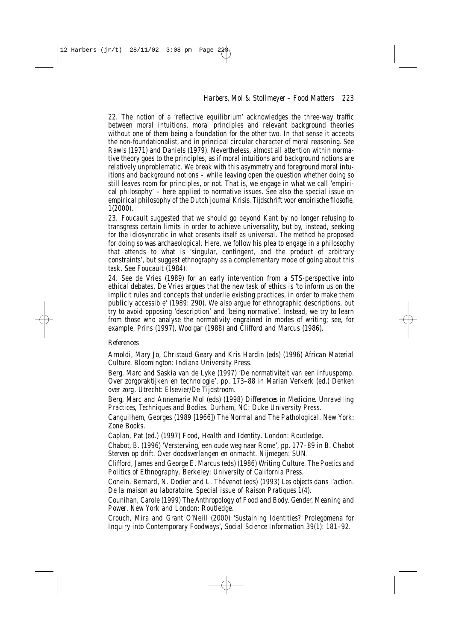22. The notion of a 'reflective equilibrium' acknowledges the three-way traffic between moral intuitions, moral principles and relevant background theories without one of them being a foundation for the other two. In that sense it accepts the non-foundationalist, and in principal circular character of moral reasoning. See Rawls (1971) and Daniels (1979). Nevertheless, almost all attention within normative theory goes to the principles, as if moral intuitions and background notions are relatively unproblematic. We break with this asymmetry and foreground moral intuitions and background notions – while leaving open the question whether doing so still leaves room for principles, or not. That is, we engage in what we call 'empirical philosophy' – here applied to normative issues. See also the special issue on empirical philosophy of the Dutch journal *Krisis. Tijdschrift voor empirische filosofie*, 1(2000).

23. Foucault suggested that we should go beyond Kant by no longer refusing to transgress certain limits in order to achieve universality, but by, instead, seeking for the idiosyncratic in what presents itself as universal. The method he proposed for doing so was archaeological. Here, we follow his plea to engage in a philosophy that attends to what is 'singular, contingent, and the product of arbitrary constraints', but suggest ethnography as a complementary mode of going about this task. See Foucault (1984).

24. See de Vries (1989) for an early intervention from a STS-perspective into ethical debates. De Vries argues that the new task of ethics is 'to inform us on the implicit rules and concepts that underlie existing practices, in order to make them publicly accessible' (1989: 290). We also argue for ethnographic descriptions, but try to avoid opposing 'description' and 'being normative'. Instead, we try to learn from those who analyse the normativity engrained in modes of writing; see, for example, Prins (1997), Woolgar (1988) and Clifford and Marcus (1986).

#### *References*

Arnoldi, Mary Jo, Christaud Geary and Kris Hardin (eds) (1996) *African Material Culture*. Bloomington: Indiana University Press.

Berg, Marc and Saskia van de Lyke (1997) 'De normativiteit van een infuuspomp. Over zorgpraktijken en technologie', pp. 173–88 in Marian Verkerk (ed.) *Denken over zorg*. Utrecht: Elsevier/De Tijdstroom.

Berg, Marc and Annemarie Mol (eds) (1998) *Differences in Medicine. Unravelling Practices, Techniques and Bodies*. Durham, NC: Duke University Press.

Canguilhem, Georges (1989 [1966]) *The Normal and The Pathological*. New York: Zone Books.

Caplan, Pat (ed.) (1997) *Food, Health and Identity*. London: Routledge.

Chabot, B. (1996) 'Versterving, een oude weg naar Rome', pp. 177–89 in B. Chabot *Sterven op drift. Over doodsverlangen en onmacht*. Nijmegen: SUN.

Clifford, James and George E. Marcus (eds) (1986) *Writing Culture. The Poetics and Politics of Ethnography*. Berkeley: University of California Press.

Conein, Bernard, N. Dodier and L. Thévenot (eds) (1993) *Les objects dans l'action. De la maison au laboratoire*. Special issue of *Raison Pratiques* 1(4).

Counihan, Carole (1999) *The Anthropology of Food and Body. Gender, Meaning and Power*. New York and London: Routledge.

Crouch, Mira and Grant O'Neill (2000) 'Sustaining Identities? Prolegomena for Inquiry into Contemporary Foodways', *Social Science Information* 39(1): 181–92.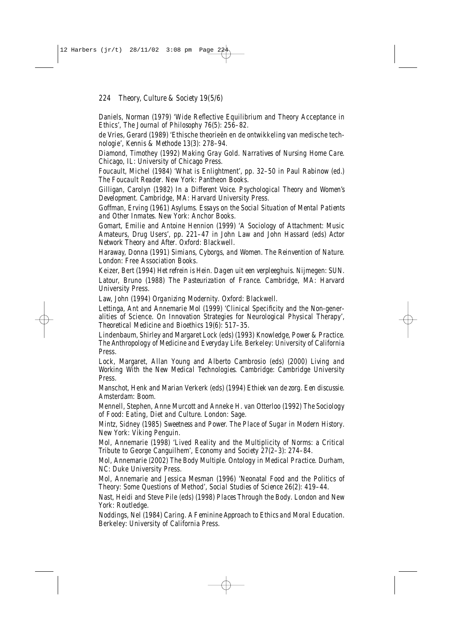Daniels, Norman (1979) 'Wide Reflective Equilibrium and Theory Acceptance in Ethics', *The Journal of Philosophy* 76(5): 256–82.

de Vries, Gerard (1989) 'Ethische theorieën en de ontwikkeling van medische technologie', *Kennis & Methode* 13(3): 278–94.

Diamond, Timothey (1992) *Making Gray Gold. Narratives of Nursing Home Care*. Chicago, IL: University of Chicago Press.

Foucault, Michel (1984) 'What is Enlightment', pp. 32–50 in Paul Rabinow (ed.) *The Foucault Reader*. New York: Pantheon Books.

Gilligan, Carolyn (1982) *In a Different Voice. Psychological Theory and Women's Development*. Cambridge, MA: Harvard University Press.

Goffman, Erving (1961) *Asylums. Essays on the Social Situation of Mental Patients and Other Inmates*. New York: Anchor Books.

Gomart, Emilie and Antoine Hennion (1999) 'A Sociology of Attachment: Music Amateurs, Drug Users', pp. 221–47 in John Law and John Hassard (eds) *Actor Network Theory and After*. Oxford: Blackwell.

Haraway, Donna (1991) *Simians, Cyborgs, and Women. The Reinvention of Nature*. London: Free Association Books.

Keizer, Bert (1994) *Het refrein is Hein. Dagen uit een verpleeghuis*. Nijmegen: SUN.

Latour, Bruno (1988) *The Pasteurization of France*. Cambridge, MA: Harvard University Press.

Law, John (1994) *Organizing Modernity*. Oxford: Blackwell.

Lettinga, Ant and Annemarie Mol (1999) 'Clinical Specificity and the Non-generalities of Science. On Innovation Strategies for Neurological Physical Therapy', *Theoretical Medicine and Bioethics* 19(6): 517–35.

Lindenbaum, Shirley and Margaret Lock (eds) (1993*) Knowledge, Power & Practice. The Anthropology of Medicine and Everyday Life*. Berkeley: University of California Press.

Lock, Margaret, Allan Young and Alberto Cambrosio (eds) (2000) *Living and Working With the New Medical Technologies*. Cambridge: Cambridge University Press.

Manschot, Henk and Marian Verkerk (eds) (1994) *Ethiek van de zorg. Een discussie*. Amsterdam: Boom.

Mennell, Stephen, Anne Murcott and Anneke H. van Otterloo (1992) *The Sociology of Food: Eating, Diet and Culture*. London: Sage.

Mintz, Sidney (1985*) Sweetness and Power. The Place of Sugar in Modern History*. New York: Viking Penguin.

Mol, Annemarie (1998) 'Lived Reality and the Multiplicity of Norms: a Critical Tribute to George Canguilhem', *Economy and Society* 27(2–3): 274–84.

Mol, Annemarie (2002) *The Body Multiple. Ontology in Medical Practice*. Durham, NC: Duke University Press.

Mol, Annemarie and Jessica Mesman (1996) 'Neonatal Food and the Politics of Theory: Some Questions of Method', *Social Studies of Science* 26(2): 419–44.

Nast, Heidi and Steve Pile (eds) (1998) *Places Through the Body*. London and New York: Routledge.

Noddings, Nel (1984) *Caring. A Feminine Approach to Ethics and Moral Education*. Berkeley: University of California Press.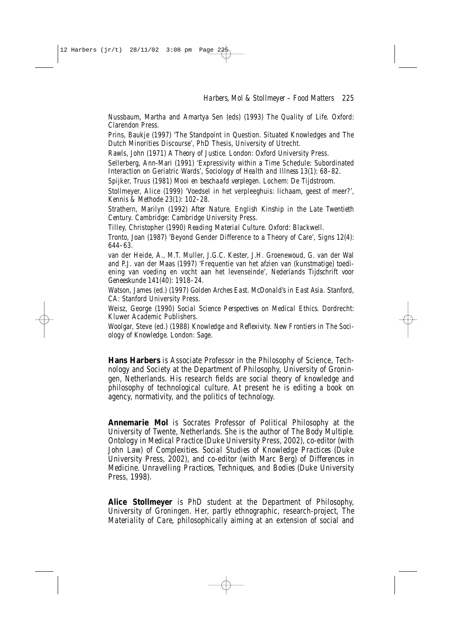<span id="page-18-0"></span>Nussbaum, Martha and Amartya Sen (eds) (1993) *The Quality of Life*. Oxford: Clarendon Press.

Prins, Baukje (1997) 'The Standpoint in Question. Situated Knowledges and The Dutch Minorities Discourse', PhD Thesis, University of Utrecht.

Rawls, John (1971) *A Theory of Justice*. London: Oxford University Press.

Sellerberg, Ann-Mari (1991) 'Expressivity within a Time Schedule: Subordinated Interaction on Geriatric Wards', *Sociology of Health and Illness* 13(1): 68–82.

Spijker, Truus (1981) *Mooi en beschaafd verplegen*. Lochem: De Tijdstroom.

Stollmeyer, Alice (1999) 'Voedsel in het verpleeghuis: lichaam, geest of meer?', *Kennis & Methode* 23(1): 102–28.

Strathern, Marilyn (1992) *After Nature. English Kinship in the Late Twentieth Century.* Cambridge: Cambridge University Press.

Tilley, Christopher (1990) *Reading Material Culture*. Oxford: Blackwell.

Tronto, Joan (1987) 'Beyond Gender Difference to a Theory of Care', *Signs* 12(4): 644–63.

van der Heide, A., M.T. Muller, J.G.C. Kester, J.H. Groenewoud, G. van der Wal and P.J. van der Maas (1997) 'Frequentie van het afzien van (kunstmatige) toediening van voeding en vocht aan het levenseinde'*, Nederlands Tijdschrift voor Geneeskunde* 141(40): 1918–24.

Watson, James (ed.) (1997) *Golden Arches East. McDonald's in East Asia*. Stanford, CA: Stanford University Press.

Weisz, George (1990) *Social Science Perspectives on Medical Ethics*. Dordrecht: Kluwer Academic Publishers.

Woolgar, Steve (ed.) (1988*) Knowledge and Reflexivity. New Frontiers in The Sociology of Knowledge*. London: Sage.

**Hans Harbers** is Associate Professor in the Philosophy of Science, Technology and Society at the Department of Philosophy, University of Groningen, Netherlands. His research fields are social theory of knowledge and philosophy of technological culture. At present he is editing a book on agency, normativity, and the politics of technology.

**Annemarie Mol** is Socrates Professor of Political Philosophy at the University of Twente, Netherlands. She is the author of *The Body Multiple. Ontology in Medical Practice* (Duke University Press, 2002), co-editor (with John Law) of *Complexities. Social Studies of Knowledge Practices* (Duke University Press, 2002), and co-editor (with Marc Berg) of *Differences in Medicine. Unravelling Practices, Techniques, and Bodies* (Duke University Press, 1998).

**Alice Stollmeyer** is PhD student at the Department of Philosophy, University of Groningen. Her, partly ethnographic, research-project, *The Materiality of Care*, philosophically aiming at an extension of social and